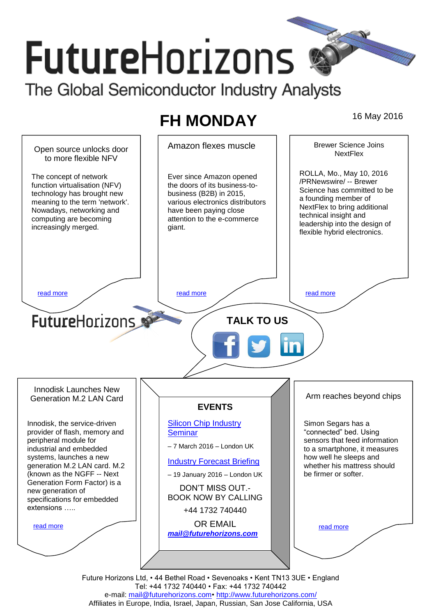# **FutureHorizons** The Global Semiconductor Industry Analysts

## **FH MONDAY** 16 May 2016



e-mail: mail@futurehorizons.com• http://www.futurehorizons.com/ Affiliates in Europe, India, Israel, Japan, Russian, San Jose California, USA